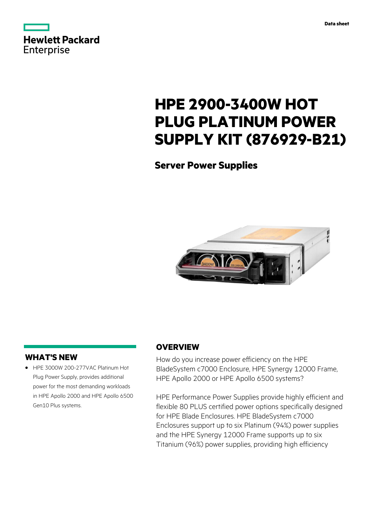

# **HPE 2900-3400W HOT PLUG PLATINUM POWER SUPPLY KIT (876929-B21)**

**Server Power Supplies**



# **WHAT'S NEW**

**·** HPE 3000W 200-277VAC Platinum Hot Plug Power Supply, provides additional power for the most demanding workloads in HPE Apollo 2000 and HPE Apollo 6500 Gen10 Plus systems.

# **OVERVIEW**

How do you increase power efficiency on the HPE BladeSystem c7000 Enclosure, HPE Synergy 12000 Frame, HPE Apollo 2000 or HPE Apollo 6500 systems?

HPE Performance Power Supplies provide highly efficient and flexible 80 PLUS certified power options specifically designed for HPE Blade Enclosures. HPE BladeSystem c7000 Enclosures support up to six Platinum (94%) power supplies and the HPE Synergy 12000 Frame supports up to six Titanium (96%) power supplies, providing high efficiency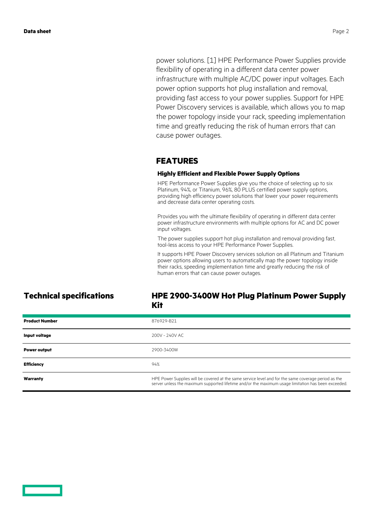power solutions. [1] HPE Performance Power Supplies provide flexibility of operating in a different data center power infrastructure with multiple AC/DC power input voltages. Each power option supports hot plug installation and removal, providing fast access to your power supplies. Support for HPE Power Discovery services is available, which allows you to map the power topology inside your rack, speeding implementation time and greatly reducing the risk of human errors that can cause power outages.

### **FEATURES**

#### **Highly Efficient and Flexible Power Supply Options**

HPE Performance Power Supplies give you the choice of selecting up to six Platinum, 94%, or Titanium, 96%, 80 PLUS certified power supply options, providing high efficiency power solutions that lower your power requirements and decrease data center operating costs.

Provides you with the ultimate flexibility of operating in different data center power infrastructure environments with multiple options for AC and DC power input voltages.

The power supplies support hot plug installation and removal providing fast, tool-less access to your HPE Performance Power Supplies.

It supports HPE Power Discovery services solution on all Platinum and Titanium power options allowing users to automatically map the power topology inside their racks, speeding implementation time and greatly reducing the risk of human errors that can cause power outages.

### **Technical specifications HPE 2900-3400W Hot Plug Platinum Power Supply Kit**

| <b>Product Number</b> | 876929-B21                                                                                                                                                                                                  |
|-----------------------|-------------------------------------------------------------------------------------------------------------------------------------------------------------------------------------------------------------|
| Input voltage         | 200V - 240V AC                                                                                                                                                                                              |
| <b>Power output</b>   | 2900-3400W                                                                                                                                                                                                  |
| <b>Efficiency</b>     | 94%                                                                                                                                                                                                         |
| Warranty              | HPE Power Supplies will be covered at the same service level and for the same coverage period as the<br>server unless the maximum supported lifetime and/or the maximum usage limitation has been exceeded. |